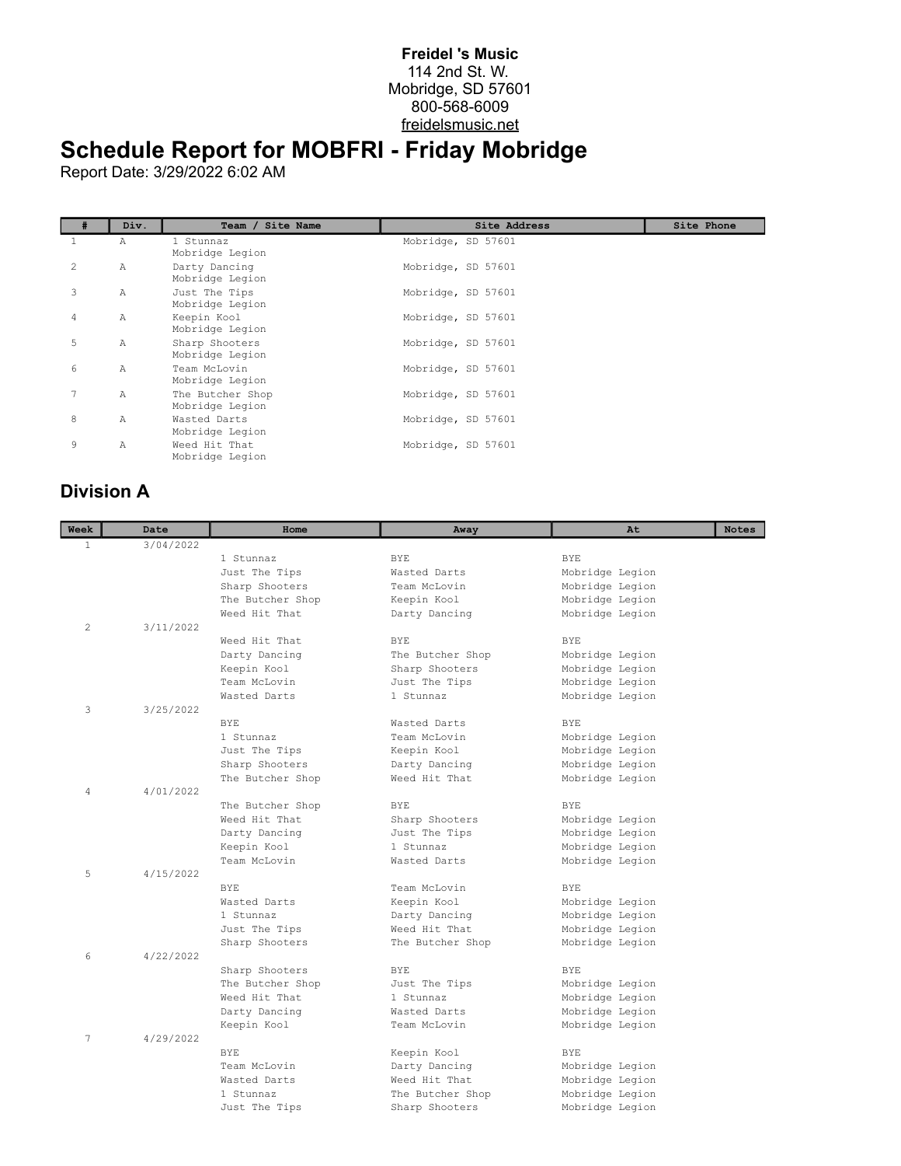## **Freidel 's Music** 114 2nd St. W. Mobridge, SD 57601 800-568-6009 freidelsmusic.net

## **Schedule Report for MOBFRI - Friday Mobridge**

Report Date: 3/29/2022 6:02 AM

|   | Div.         | Team / Site Name                    | Site Address       | Site Phone |
|---|--------------|-------------------------------------|--------------------|------------|
|   | Α            | 1 Stunnaz<br>Mobridge Legion        | Mobridge, SD 57601 |            |
| 2 | $\mathbb{A}$ | Darty Dancing<br>Mobridge Legion    | Mobridge, SD 57601 |            |
| 3 | $\mathbb{A}$ | Just The Tips<br>Mobridge Legion    | Mobridge, SD 57601 |            |
| 4 | $\mathbb{A}$ | Keepin Kool<br>Mobridge Legion      | Mobridge, SD 57601 |            |
| 5 | $\mathbb{A}$ | Sharp Shooters<br>Mobridge Legion   | Mobridge, SD 57601 |            |
| 6 | $\mathbb{A}$ | Team McLovin<br>Mobridge Legion     | Mobridge, SD 57601 |            |
| 7 | $\mathbb{A}$ | The Butcher Shop<br>Mobridge Legion | Mobridge, SD 57601 |            |
| 8 | Α            | Wasted Darts<br>Mobridge Legion     | Mobridge, SD 57601 |            |
| 9 | Α            | Weed Hit That<br>Mobridge Legion    | Mobridge, SD 57601 |            |

## **Division A**

| Week           | Date      | Home                        | Away                      | At              | <b>Notes</b> |
|----------------|-----------|-----------------------------|---------------------------|-----------------|--------------|
| $\mathbf{1}$   | 3/04/2022 |                             |                           |                 |              |
|                |           | 1 Stunnaz                   | BYE.                      | BYE.            |              |
|                |           | Just The Tips               | Wasted Darts              | Mobridge Legion |              |
|                |           | Sharp Shooters              | Team McLovin              | Mobridge Legion |              |
|                |           | The Butcher Shop            | Keepin Kool               | Mobridge Legion |              |
|                |           | Weed Hit That               | Darty Dancing             | Mobridge Legion |              |
| $\overline{c}$ | 3/11/2022 |                             |                           |                 |              |
|                |           | Weed Hit That               | BYE.                      | BYE.            |              |
|                |           | Darty Dancing               | The Butcher Shop          | Mobridge Legion |              |
|                |           | Keepin Kool                 | Sharp Shooters            | Mobridge Legion |              |
|                |           | Team McLovin                | Just The Tips             | Mobridge Legion |              |
|                |           | Wasted Darts                | 1 Stunnaz                 | Mobridge Legion |              |
| 3              | 3/25/2022 |                             |                           |                 |              |
|                |           | BYE.                        | Wasted Darts              | BYE.            |              |
|                |           | 1 Stunnaz                   | Team McLovin              | Mobridge Legion |              |
|                |           | Just The Tips               | Keepin Kool               | Mobridge Legion |              |
|                |           | Sharp Shooters              | Darty Dancing             | Mobridge Legion |              |
|                |           | The Butcher Shop            | Weed Hit That             | Mobridge Legion |              |
| $\overline{4}$ | 4/01/2022 |                             |                           |                 |              |
|                |           | The Butcher Shop            | <b>BYE</b>                | BYE.            |              |
|                |           | Weed Hit That               | Sharp Shooters            | Mobridge Legion |              |
|                |           | Darty Dancing               | Just The Tips             | Mobridge Legion |              |
|                |           | Keepin Kool<br>Team McLovin | 1 Stunnaz<br>Wasted Darts | Mobridge Legion |              |
| 5              | 4/15/2022 |                             |                           | Mobridge Legion |              |
|                |           | BYE.                        | Team McLovin              | <b>BYE</b>      |              |
|                |           | Wasted Darts                | Keepin Kool               | Mobridge Legion |              |
|                |           | 1 Stunnaz                   | Darty Dancing             | Mobridge Legion |              |
|                |           | Just The Tips               | Weed Hit That             | Mobridge Legion |              |
|                |           | Sharp Shooters              | The Butcher Shop          | Mobridge Legion |              |
| 6              | 4/22/2022 |                             |                           |                 |              |
|                |           | Sharp Shooters              | <b>BYE</b>                | BYE.            |              |
|                |           | The Butcher Shop            | Just The Tips             | Mobridge Legion |              |
|                |           | Weed Hit That               | 1 Stunnaz                 | Mobridge Legion |              |
|                |           | Darty Dancing               | Wasted Darts              | Mobridge Legion |              |
|                |           | Keepin Kool                 | Team McLovin              | Mobridge Legion |              |
| 7              | 4/29/2022 |                             |                           |                 |              |
|                |           | BYE.                        | Keepin Kool               | <b>BYE</b>      |              |
|                |           | Team McLovin                | Darty Dancing             | Mobridge Legion |              |
|                |           | Wasted Darts                | Weed Hit That             | Mobridge Legion |              |
|                |           | 1 Stunnaz                   | The Butcher Shop          | Mobridge Legion |              |
|                |           | Just The Tips               | Sharp Shooters            | Mobridge Legion |              |
|                |           |                             |                           |                 |              |